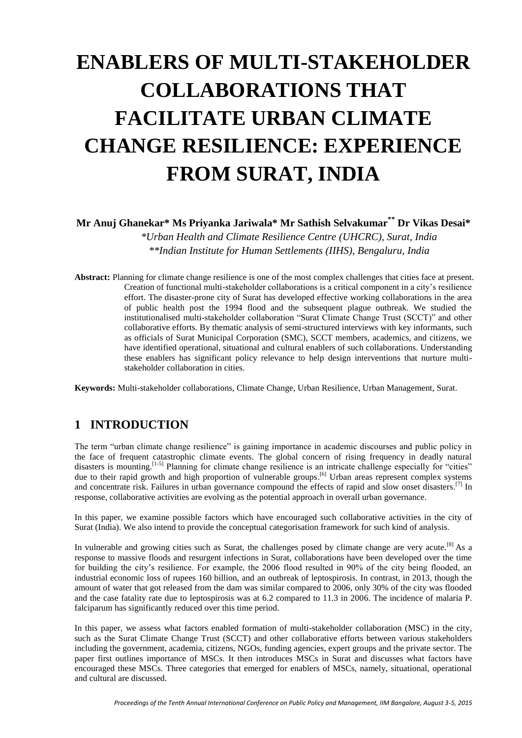# **ENABLERS OF MULTI-STAKEHOLDER COLLABORATIONS THAT FACILITATE URBAN CLIMATE CHANGE RESILIENCE: EXPERIENCE FROM SURAT, INDIA**

**Mr Anuj Ghanekar\* Ms Priyanka Jariwala\* Mr Sathish Selvakumar\*\* Dr Vikas Desai\***

*\*Urban Health and Climate Resilience Centre (UHCRC), Surat, India \*\*Indian Institute for Human Settlements (IIHS), Bengaluru, India*

**Abstract:** Planning for climate change resilience is one of the most complex challenges that cities face at present. Creation of functional multi-stakeholder collaborations is a critical component in a city's resilience effort. The disaster-prone city of Surat has developed effective working collaborations in the area of public health post the 1994 flood and the subsequent plague outbreak. We studied the institutionalised multi-stakeholder collaboration "Surat Climate Change Trust (SCCT)" and other collaborative efforts. By thematic analysis of semi-structured interviews with key informants, such as officials of Surat Municipal Corporation (SMC), SCCT members, academics, and citizens, we have identified operational, situational and cultural enablers of such collaborations. Understanding these enablers has significant policy relevance to help design interventions that nurture multistakeholder collaboration in cities.

**Keywords:** Multi-stakeholder collaborations, Climate Change, Urban Resilience, Urban Management, Surat.

## **1 INTRODUCTION**

The term "urban climate change resilience" is gaining importance in academic discourses and public policy in the face of frequent catastrophic climate events. The global concern of rising frequency in deadly natural disasters is mounting.<sup>[1-5]</sup> Planning for climate change resilience is an intricate challenge especially for "cities" due to their rapid growth and high proportion of vulnerable groups.<sup>[6]</sup> Urban areas represent complex systems and concentrate risk. Failures in urban governance compound the effects of rapid and slow onset disasters.<sup>[7]</sup> In response, collaborative activities are evolving as the potential approach in overall urban governance.

In this paper, we examine possible factors which have encouraged such collaborative activities in the city of Surat (India). We also intend to provide the conceptual categorisation framework for such kind of analysis.

In vulnerable and growing cities such as Surat, the challenges posed by climate change are very acute.<sup>[8]</sup> As a response to massive floods and resurgent infections in Surat, collaborations have been developed over the time for building the city's resilience. For example, the 2006 flood resulted in 90% of the city being flooded, an industrial economic loss of rupees 160 billion, and an outbreak of leptospirosis. In contrast, in 2013, though the amount of water that got released from the dam was similar compared to 2006, only 30% of the city was flooded and the case fatality rate due to leptospirosis was at 6.2 compared to 11.3 in 2006. The incidence of malaria P. falciparum has significantly reduced over this time period.

In this paper, we assess what factors enabled formation of multi-stakeholder collaboration (MSC) in the city, such as the Surat Climate Change Trust (SCCT) and other collaborative efforts between various stakeholders including the government, academia, citizens, NGOs, funding agencies, expert groups and the private sector. The paper first outlines importance of MSCs. It then introduces MSCs in Surat and discusses what factors have encouraged these MSCs. Three categories that emerged for enablers of MSCs, namely, situational, operational and cultural are discussed.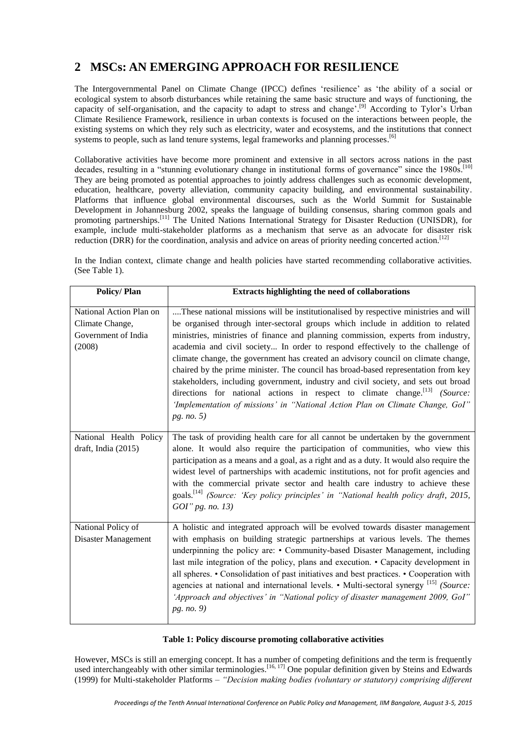# **2 MSCs: AN EMERGING APPROACH FOR RESILIENCE**

The Intergovernmental Panel on Climate Change (IPCC) defines 'resilience' as 'the ability of a social or ecological system to absorb disturbances while retaining the same basic structure and ways of functioning, the capacity of self-organisation, and the capacity to adapt to stress and change'.<sup>[9]</sup> According to Tylor's Urban Climate Resilience Framework, resilience in urban contexts is focused on the interactions between people, the existing systems on which they rely such as electricity, water and ecosystems, and the institutions that connect systems to people, such as land tenure systems, legal frameworks and planning processes.<sup>[6]</sup>

Collaborative activities have become more prominent and extensive in all sectors across nations in the past decades, resulting in a "stunning evolutionary change in institutional forms of governance" since the 1980s.<sup>[10]</sup> They are being promoted as potential approaches to jointly address challenges such as economic development, education, healthcare, poverty alleviation, community capacity building, and environmental sustainability. Platforms that influence global environmental discourses, such as the World Summit for Sustainable Development in Johannesburg 2002, speaks the language of building consensus, sharing common goals and promoting partnerships.<sup>[11]</sup> The United Nations International Strategy for Disaster Reduction (UNISDR), for example, include multi-stakeholder platforms as a mechanism that serve as an advocate for disaster risk reduction (DRR) for the coordination, analysis and advice on areas of priority needing concerted action.<sup>[12]</sup>

In the Indian context, climate change and health policies have started recommending collaborative activities. (See Table 1).

| <b>Policy/Plan</b>                                                          | Extracts highlighting the need of collaborations                                                                                                                                                                                                                                                                                                                                                                                                                                                                                                                                                                                                                                                                                                                                                        |
|-----------------------------------------------------------------------------|---------------------------------------------------------------------------------------------------------------------------------------------------------------------------------------------------------------------------------------------------------------------------------------------------------------------------------------------------------------------------------------------------------------------------------------------------------------------------------------------------------------------------------------------------------------------------------------------------------------------------------------------------------------------------------------------------------------------------------------------------------------------------------------------------------|
| National Action Plan on<br>Climate Change,<br>Government of India<br>(2008) | These national missions will be institutionalised by respective ministries and will<br>be organised through inter-sectoral groups which include in addition to related<br>ministries, ministries of finance and planning commission, experts from industry,<br>academia and civil society In order to respond effectively to the challenge of<br>climate change, the government has created an advisory council on climate change,<br>chaired by the prime minister. The council has broad-based representation from key<br>stakeholders, including government, industry and civil society, and sets out broad<br>directions for national actions in respect to climate change. <sup>[13]</sup> (Source:<br>'Implementation of missions' in "National Action Plan on Climate Change, GoI"<br>pg. no. 5) |
| National Health Policy<br>draft, India (2015)                               | The task of providing health care for all cannot be undertaken by the government<br>alone. It would also require the participation of communities, who view this<br>participation as a means and a goal, as a right and as a duty. It would also require the<br>widest level of partnerships with academic institutions, not for profit agencies and<br>with the commercial private sector and health care industry to achieve these<br>goals. <sup>[14]</sup> (Source: 'Key policy principles' in "National health policy draft, 2015,<br>$GOI''$ pg. no. 13)                                                                                                                                                                                                                                          |
| National Policy of<br>Disaster Management                                   | A holistic and integrated approach will be evolved towards disaster management<br>with emphasis on building strategic partnerships at various levels. The themes<br>underpinning the policy are: • Community-based Disaster Management, including<br>last mile integration of the policy, plans and execution. • Capacity development in<br>all spheres. • Consolidation of past initiatives and best practices. • Cooperation with<br>agencies at national and international levels. • Multi-sectoral synergy [15] (Source:<br>'Approach and objectives' in "National policy of disaster management 2009, GoI"<br>pg. no. 9)                                                                                                                                                                           |

#### **Table 1: Policy discourse promoting collaborative activities**

However, MSCs is still an emerging concept. It has a number of competing definitions and the term is frequently used interchangeably with other similar terminologies.<sup>[16, 17]</sup> One popular definition given by Steins and Edwards (1999) for Multi-stakeholder Platforms – *"Decision making bodies (voluntary or statutory) comprising different*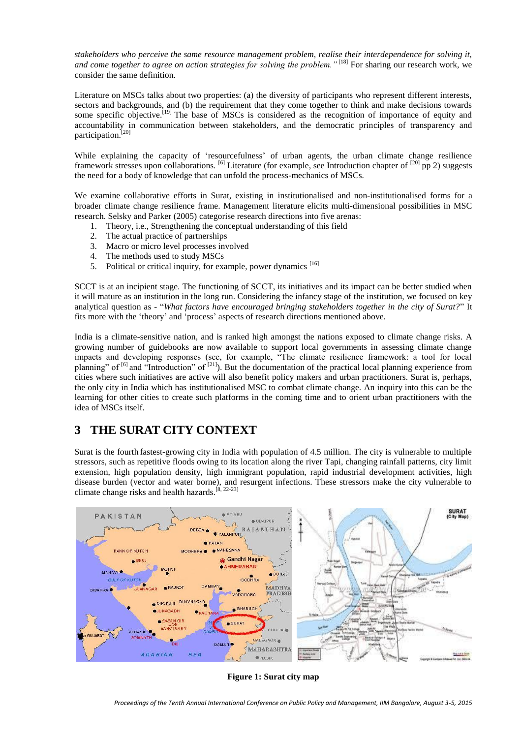*stakeholders who perceive the same resource management problem, realise their interdependence for solving it, and come together to agree on action strategies for solving the problem.* "<sup>[18]</sup> For sharing our research work, we consider the same definition.

Literature on MSCs talks about two properties: (a) the diversity of participants who represent different interests, sectors and backgrounds, and (b) the requirement that they come together to think and make decisions towards some specific objective.<sup>[19]</sup> The base of MSCs is considered as the recognition of importance of equity and accountability in communication between stakeholders, and the democratic principles of transparency and participation.<sup>[20]</sup>

While explaining the capacity of 'resourcefulness' of urban agents, the urban climate change resilience framework stresses upon collaborations.  $^{[6]}$  Literature (for example, see Introduction chapter of  $^{[20]}$  pp 2) suggests the need for a body of knowledge that can unfold the process-mechanics of MSCs.

We examine collaborative efforts in Surat, existing in institutionalised and non-institutionalised forms for a broader climate change resilience frame. Management literature elicits multi-dimensional possibilities in MSC research. Selsky and Parker (2005) categorise research directions into five arenas:

- 1. Theory, i.e., Strengthening the conceptual understanding of this field
- 2. The actual practice of partnerships
- 3. Macro or micro level processes involved
- 4. The methods used to study MSCs
- 5. Political or critical inquiry, for example, power dynamics<sup>[16]</sup>

SCCT is at an incipient stage. The functioning of SCCT, its initiatives and its impact can be better studied when it will mature as an institution in the long run. Considering the infancy stage of the institution, we focused on key analytical question as - "*What factors have encouraged bringing stakeholders together in the city of Surat?*" It fits more with the 'theory' and 'process' aspects of research directions mentioned above.

India is a climate-sensitive nation, and is ranked high amongst the nations exposed to climate change risks. A growing number of guidebooks are now available to support local governments in assessing climate change impacts and developing responses (see, for example, "The climate resilience framework: a tool for local planning" of  $[6]$  and "Introduction" of  $[21]$ ). But the documentation of the practical local planning experience from cities where such initiatives are active will also benefit policy makers and urban practitioners. Surat is, perhaps, the only city in India which has institutionalised MSC to combat climate change. An inquiry into this can be the learning for other cities to create such platforms in the coming time and to orient urban practitioners with the idea of MSCs itself.

# **3 THE SURAT CITY CONTEXT**

Surat is the fourth fastest-growing city in India with population of 4.5 million. The city is vulnerable to multiple stressors, such as repetitive floods owing to its location along the river Tapi, changing rainfall patterns, city limit extension, high population density, high immigrant population, rapid industrial development activities, high disease burden (vector and water borne), and resurgent infections. These stressors make the city vulnerable to climate change risks and health hazards.[8, 22-23]



**Figure 1: Surat city map**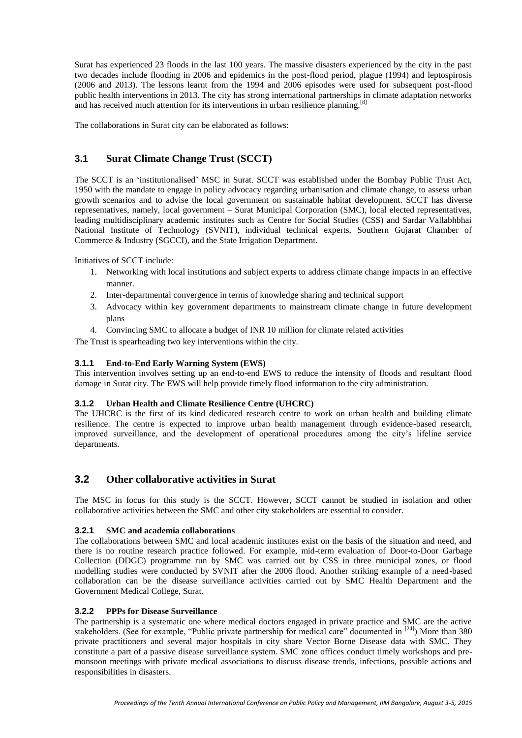Surat has experienced 23 floods in the last 100 years. The massive disasters experienced by the city in the past two decades include flooding in 2006 and epidemics in the post-flood period, plague (1994) and leptospirosis (2006 and 2013). The lessons learnt from the 1994 and 2006 episodes were used for subsequent post-flood public health interventions in 2013. The city has strong international partnerships in climate adaptation networks and has received much attention for its interventions in urban resilience planning.<sup>[8]</sup>

The collaborations in Surat city can be elaborated as follows:

## **3.1 Surat Climate Change Trust (SCCT)**

The SCCT is an 'institutionalised' MSC in Surat. SCCT was established under the Bombay Public Trust Act, 1950 with the mandate to engage in policy advocacy regarding urbanisation and climate change, to assess urban growth scenarios and to advise the local government on sustainable habitat development. SCCT has diverse representatives, namely, local government – Surat Municipal Corporation (SMC), local elected representatives, leading multidisciplinary academic institutes such as Centre for Social Studies (CSS) and Sardar Vallabhbhai National Institute of Technology (SVNIT), individual technical experts, Southern Gujarat Chamber of Commerce & Industry (SGCCI), and the State Irrigation Department.

Initiatives of SCCT include:

- 1. Networking with local institutions and subject experts to address climate change impacts in an effective manner.
- 2. Inter-departmental convergence in terms of knowledge sharing and technical support
- 3. Advocacy within key government departments to mainstream climate change in future development plans
- 4. Convincing SMC to allocate a budget of INR 10 million for climate related activities

The Trust is spearheading two key interventions within the city.

#### **3.1.1 End-to-End Early Warning System (EWS)**

This intervention involves setting up an end-to-end EWS to reduce the intensity of floods and resultant flood damage in Surat city. The EWS will help provide timely flood information to the city administration.

#### **3.1.2 Urban Health and Climate Resilience Centre (UHCRC)**

The UHCRC is the first of its kind dedicated research centre to work on urban health and building climate resilience. The centre is expected to improve urban health management through evidence-based research, improved surveillance, and the development of operational procedures among the city's lifeline service departments.

## **3.2 Other collaborative activities in Surat**

The MSC in focus for this study is the SCCT. However, SCCT cannot be studied in isolation and other collaborative activities between the SMC and other city stakeholders are essential to consider.

#### **3.2.1 SMC and academia collaborations**

The collaborations between SMC and local academic institutes exist on the basis of the situation and need, and there is no routine research practice followed. For example, mid-term evaluation of Door-to-Door Garbage Collection (DDGC) programme run by SMC was carried out by CSS in three municipal zones, or flood modelling studies were conducted by SVNIT after the 2006 flood. Another striking example of a need-based collaboration can be the disease surveillance activities carried out by SMC Health Department and the Government Medical College, Surat.

#### **3.2.2 PPPs for Disease Surveillance**

The partnership is a systematic one where medical doctors engaged in private practice and SMC are the active stakeholders. (See for example, "Public private partnership for medical care" documented in <sup>[24]</sup>) More than 380 private practitioners and several major hospitals in city share Vector Borne Disease data with SMC. They constitute a part of a passive disease surveillance system. SMC zone offices conduct timely workshops and premonsoon meetings with private medical associations to discuss disease trends, infections, possible actions and responsibilities in disasters.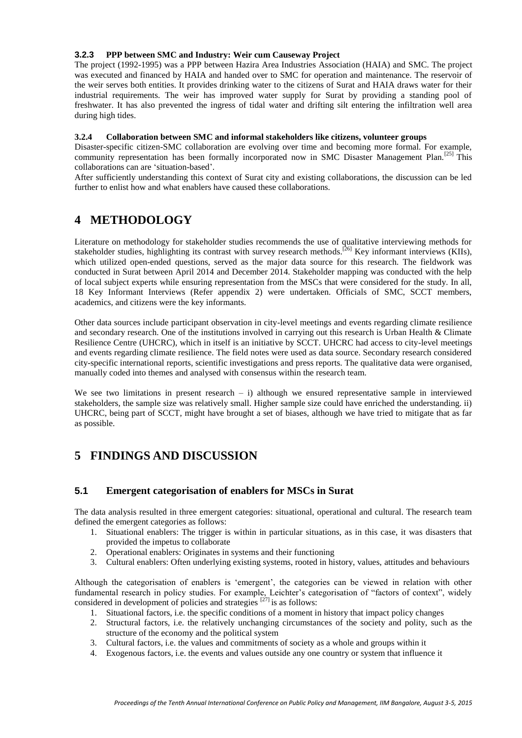#### **3.2.3 PPP between SMC and Industry: Weir cum Causeway Project**

The project (1992-1995) was a PPP between Hazira Area Industries Association (HAIA) and SMC. The project was executed and financed by HAIA and handed over to SMC for operation and maintenance. The reservoir of the weir serves both entities. It provides drinking water to the citizens of Surat and HAIA draws water for their industrial requirements. The weir has improved water supply for Surat by providing a standing pool of freshwater. It has also prevented the ingress of tidal water and drifting silt entering the infiltration well area during high tides.

#### **3.2.4 Collaboration between SMC and informal stakeholders like citizens, volunteer groups**

Disaster-specific citizen-SMC collaboration are evolving over time and becoming more formal. For example, community representation has been formally incorporated now in SMC Disaster Management Plan.<sup>[25]</sup> This collaborations can are 'situation-based'.

After sufficiently understanding this context of Surat city and existing collaborations, the discussion can be led further to enlist how and what enablers have caused these collaborations.

## **4 METHODOLOGY**

Literature on methodology for stakeholder studies recommends the use of qualitative interviewing methods for stakeholder studies, highlighting its contrast with survey research methods.<sup>[26]</sup> Key informant interviews (KIIs), which utilized open-ended questions, served as the major data source for this research. The fieldwork was conducted in Surat between April 2014 and December 2014. Stakeholder mapping was conducted with the help of local subject experts while ensuring representation from the MSCs that were considered for the study. In all, 18 Key Informant Interviews (Refer appendix 2) were undertaken. Officials of SMC, SCCT members, academics, and citizens were the key informants.

Other data sources include participant observation in city-level meetings and events regarding climate resilience and secondary research. One of the institutions involved in carrying out this research is Urban Health & Climate Resilience Centre (UHCRC), which in itself is an initiative by SCCT. UHCRC had access to city-level meetings and events regarding climate resilience. The field notes were used as data source. Secondary research considered city-specific international reports, scientific investigations and press reports. The qualitative data were organised, manually coded into themes and analysed with consensus within the research team.

We see two limitations in present research  $- i$ ) although we ensured representative sample in interviewed stakeholders, the sample size was relatively small. Higher sample size could have enriched the understanding. ii) UHCRC, being part of SCCT, might have brought a set of biases, although we have tried to mitigate that as far as possible.

# **5 FINDINGS AND DISCUSSION**

## **5.1 Emergent categorisation of enablers for MSCs in Surat**

The data analysis resulted in three emergent categories: situational, operational and cultural. The research team defined the emergent categories as follows:

- 1. Situational enablers: The trigger is within in particular situations, as in this case, it was disasters that provided the impetus to collaborate
- 2. Operational enablers: Originates in systems and their functioning
- 3. Cultural enablers: Often underlying existing systems, rooted in history, values, attitudes and behaviours

Although the categorisation of enablers is 'emergent', the categories can be viewed in relation with other fundamental research in policy studies. For example, Leichter's categorisation of "factors of context", widely considered in development of policies and strategies  $[27]$  is as follows:

- 1. Situational factors, i.e. the specific conditions of a moment in history that impact policy changes
- 2. Structural factors, i.e. the relatively unchanging circumstances of the society and polity, such as the structure of the economy and the political system
- 3. Cultural factors, i.e. the values and commitments of society as a whole and groups within it
- 4. Exogenous factors, i.e. the events and values outside any one country or system that influence it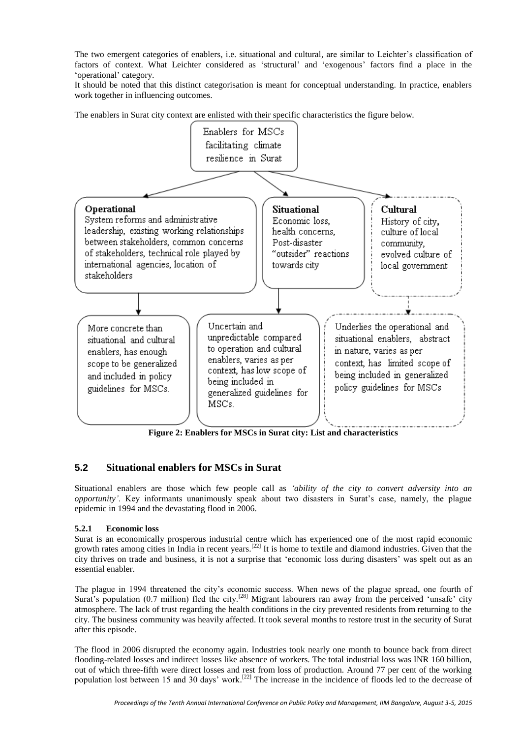The two emergent categories of enablers, i.e. situational and cultural, are similar to Leichter's classification of factors of context. What Leichter considered as 'structural' and 'exogenous' factors find a place in the 'operational' category.

It should be noted that this distinct categorisation is meant for conceptual understanding. In practice, enablers work together in influencing outcomes.

The enablers in Surat city context are enlisted with their specific characteristics the figure below.



**Figure 2: Enablers for MSCs in Surat city: List and characteristics**

## **5.2 Situational enablers for MSCs in Surat**

Situational enablers are those which few people call as *'ability of the city to convert adversity into an opportunity'*. Key informants unanimously speak about two disasters in Surat's case, namely, the plague epidemic in 1994 and the devastating flood in 2006.

#### **5.2.1 Economic loss**

Surat is an economically prosperous industrial centre which has experienced one of the most rapid economic growth rates among cities in India in recent years.<sup>[22]</sup> It is home to textile and diamond industries. Given that the city thrives on trade and business, it is not a surprise that 'economic loss during disasters' was spelt out as an essential enabler.

The plague in 1994 threatened the city's economic success. When news of the plague spread, one fourth of Surat's population (0.7 million) fled the city.<sup>[28]</sup> Migrant labourers ran away from the perceived 'unsafe' city atmosphere. The lack of trust regarding the health conditions in the city prevented residents from returning to the city. The business community was heavily affected. It took several months to restore trust in the security of Surat after this episode.

The flood in 2006 disrupted the economy again. Industries took nearly one month to bounce back from direct flooding-related losses and indirect losses like absence of workers. The total industrial loss was INR 160 billion, out of which three-fifth were direct losses and rest from loss of production. Around 77 per cent of the working population lost between 15 and 30 days' work.<sup>[22]</sup> The increase in the incidence of floods led to the decrease of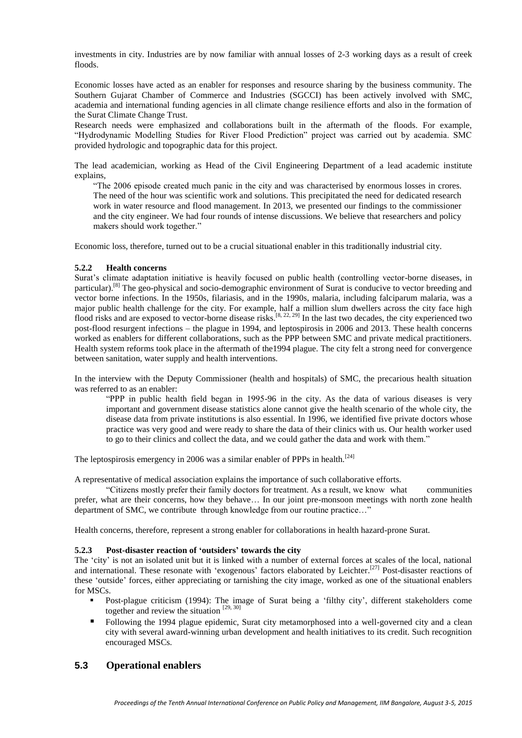investments in city. Industries are by now familiar with annual losses of 2-3 working days as a result of creek floods.

Economic losses have acted as an enabler for responses and resource sharing by the business community. The Southern Gujarat Chamber of Commerce and Industries (SGCCI) has been actively involved with SMC, academia and international funding agencies in all climate change resilience efforts and also in the formation of the Surat Climate Change Trust.

Research needs were emphasized and collaborations built in the aftermath of the floods. For example, "Hydrodynamic Modelling Studies for River Flood Prediction" project was carried out by academia. SMC provided hydrologic and topographic data for this project.

The lead academician, working as Head of the Civil Engineering Department of a lead academic institute explains,

"The 2006 episode created much panic in the city and was characterised by enormous losses in crores. The need of the hour was scientific work and solutions. This precipitated the need for dedicated research work in water resource and flood management. In 2013, we presented our findings to the commissioner and the city engineer. We had four rounds of intense discussions. We believe that researchers and policy makers should work together."

Economic loss, therefore, turned out to be a crucial situational enabler in this traditionally industrial city.

#### **5.2.2 Health concerns**

Surat's climate adaptation initiative is heavily focused on public health (controlling vector-borne diseases, in particular).<sup>[8]</sup> The geo-physical and socio-demographic environment of Surat is conducive to vector breeding and vector borne infections. In the 1950s, filariasis, and in the 1990s, malaria, including falciparum malaria, was a major public health challenge for the city. For example, half a million slum dwellers across the city face high flood risks and are exposed to vector-borne disease risks.<sup>[8, 22, 29]</sup> In the last two decades, the city experienced two post-flood resurgent infections – the plague in 1994, and leptospirosis in 2006 and 2013. These health concerns worked as enablers for different collaborations, such as the PPP between SMC and private medical practitioners. Health system reforms took place in the aftermath of the1994 plague. The city felt a strong need for convergence between sanitation, water supply and health interventions.

In the interview with the Deputy Commissioner (health and hospitals) of SMC, the precarious health situation was referred to as an enabler:

"PPP in public health field began in 1995-96 in the city. As the data of various diseases is very important and government disease statistics alone cannot give the health scenario of the whole city, the disease data from private institutions is also essential. In 1996, we identified five private doctors whose practice was very good and were ready to share the data of their clinics with us. Our health worker used to go to their clinics and collect the data, and we could gather the data and work with them."

The leptospirosis emergency in 2006 was a similar enabler of PPPs in health.<sup>[24]</sup>

A representative of medical association explains the importance of such collaborative efforts.

"Citizens mostly prefer their family doctors for treatment. As a result, we know what communities prefer, what are their concerns, how they behave… In our joint pre-monsoon meetings with north zone health department of SMC, we contribute through knowledge from our routine practice…"

Health concerns, therefore, represent a strong enabler for collaborations in health hazard-prone Surat.

#### **5.2.3 Post-disaster reaction of 'outsiders' towards the city**

The 'city' is not an isolated unit but it is linked with a number of external forces at scales of the local, national and international. These resonate with 'exogenous' factors elaborated by Leichter.<sup>[27]</sup> Post-disaster reactions of these 'outside' forces, either appreciating or tarnishing the city image, worked as one of the situational enablers for MSCs.

- Post-plague criticism (1994): The image of Surat being a 'filthy city', different stakeholders come together and review the situation [29, 30]
- Following the 1994 plague epidemic, Surat city metamorphosed into a well-governed city and a clean city with several award-winning urban development and health initiatives to its credit. Such recognition encouraged MSCs.

#### **5.3 Operational enablers**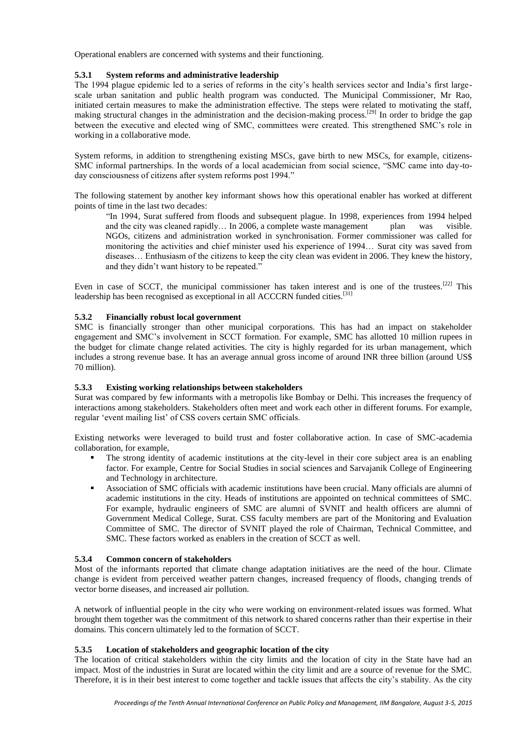Operational enablers are concerned with systems and their functioning.

#### **5.3.1 System reforms and administrative leadership**

The 1994 plague epidemic led to a series of reforms in the city's health services sector and India's first largescale urban sanitation and public health program was conducted. The Municipal Commissioner, Mr Rao, initiated certain measures to make the administration effective. The steps were related to motivating the staff, making structural changes in the administration and the decision-making process.<sup>[29]</sup> In order to bridge the gap between the executive and elected wing of SMC, committees were created. This strengthened SMC's role in working in a collaborative mode.

System reforms, in addition to strengthening existing MSCs, gave birth to new MSCs, for example, citizens-SMC informal partnerships. In the words of a local academician from social science, "SMC came into day-today consciousness of citizens after system reforms post 1994."

The following statement by another key informant shows how this operational enabler has worked at different points of time in the last two decades:

"In 1994, Surat suffered from floods and subsequent plague. In 1998, experiences from 1994 helped and the city was cleaned rapidly… In 2006, a complete waste management plan was visible. NGOs, citizens and administration worked in synchronisation. Former commissioner was called for monitoring the activities and chief minister used his experience of 1994… Surat city was saved from diseases… Enthusiasm of the citizens to keep the city clean was evident in 2006. They knew the history, and they didn't want history to be repeated."

Even in case of SCCT, the municipal commissioner has taken interest and is one of the trustees.<sup>[22]</sup> This leadership has been recognised as exceptional in all ACCCRN funded cities.<sup>[31]</sup>

#### **5.3.2 Financially robust local government**

SMC is financially stronger than other municipal corporations. This has had an impact on stakeholder engagement and SMC's involvement in SCCT formation. For example, SMC has allotted 10 million rupees in the budget for climate change related activities. The city is highly regarded for its urban management, which includes a strong revenue base. It has an average annual gross income of around INR three billion (around US\$ 70 million).

#### **5.3.3 Existing working relationships between stakeholders**

Surat was compared by few informants with a metropolis like Bombay or Delhi. This increases the frequency of interactions among stakeholders. Stakeholders often meet and work each other in different forums. For example, regular 'event mailing list' of CSS covers certain SMC officials.

Existing networks were leveraged to build trust and foster collaborative action. In case of SMC-academia collaboration, for example,

- The strong identity of academic institutions at the city-level in their core subject area is an enabling factor. For example, Centre for Social Studies in social sciences and Sarvajanik College of Engineering and Technology in architecture.
- Association of SMC officials with academic institutions have been crucial. Many officials are alumni of academic institutions in the city. Heads of institutions are appointed on technical committees of SMC. For example, hydraulic engineers of SMC are alumni of SVNIT and health officers are alumni of Government Medical College, Surat. CSS faculty members are part of the Monitoring and Evaluation Committee of SMC. The director of SVNIT played the role of Chairman, Technical Committee, and SMC. These factors worked as enablers in the creation of SCCT as well.

#### **5.3.4 Common concern of stakeholders**

Most of the informants reported that climate change adaptation initiatives are the need of the hour. Climate change is evident from perceived weather pattern changes, increased frequency of floods, changing trends of vector borne diseases, and increased air pollution.

A network of influential people in the city who were working on environment-related issues was formed. What brought them together was the commitment of this network to shared concerns rather than their expertise in their domains. This concern ultimately led to the formation of SCCT.

#### **5.3.5 Location of stakeholders and geographic location of the city**

The location of critical stakeholders within the city limits and the location of city in the State have had an impact. Most of the industries in Surat are located within the city limit and are a source of revenue for the SMC. Therefore, it is in their best interest to come together and tackle issues that affects the city's stability. As the city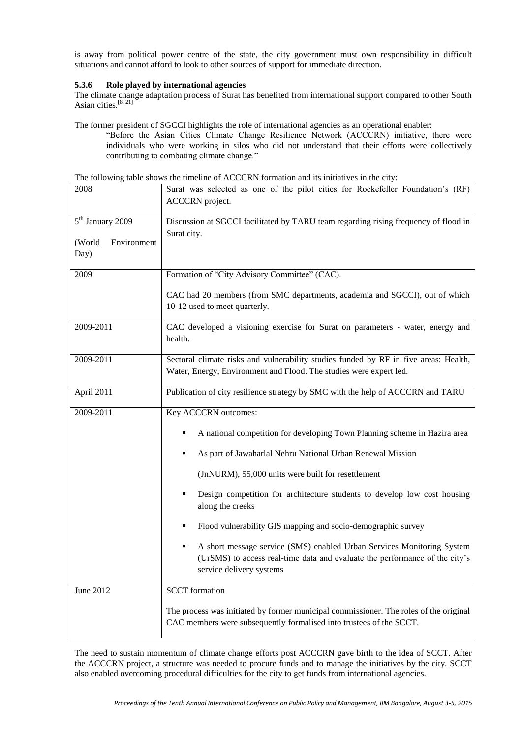is away from political power centre of the state, the city government must own responsibility in difficult situations and cannot afford to look to other sources of support for immediate direction.

#### **5.3.6 Role played by international agencies**

The climate change adaptation process of Surat has benefited from international support compared to other South Asian cities. [8, 21]

The former president of SGCCI highlights the role of international agencies as an operational enabler:

"Before the Asian Cities Climate Change Resilience Network (ACCCRN) initiative, there were individuals who were working in silos who did not understand that their efforts were collectively contributing to combating climate change."

| The following table shows the timeline of ACCCRN formation and its initiatives in the city: |  |  |  |  |
|---------------------------------------------------------------------------------------------|--|--|--|--|
|                                                                                             |  |  |  |  |

| 2008                                                          | Surat was selected as one of the pilot cities for Rockefeller Foundation's (RF)<br><b>ACCCRN</b> project.                                                                                                                                                                                                                                                                                                                                                                                                                                                                                 |  |  |  |
|---------------------------------------------------------------|-------------------------------------------------------------------------------------------------------------------------------------------------------------------------------------------------------------------------------------------------------------------------------------------------------------------------------------------------------------------------------------------------------------------------------------------------------------------------------------------------------------------------------------------------------------------------------------------|--|--|--|
| 5 <sup>th</sup> January 2009<br>(World<br>Environment<br>Day) | Discussion at SGCCI facilitated by TARU team regarding rising frequency of flood in<br>Surat city.                                                                                                                                                                                                                                                                                                                                                                                                                                                                                        |  |  |  |
| 2009                                                          | Formation of "City Advisory Committee" (CAC).<br>CAC had 20 members (from SMC departments, academia and SGCCI), out of which<br>10-12 used to meet quarterly.                                                                                                                                                                                                                                                                                                                                                                                                                             |  |  |  |
| 2009-2011                                                     | CAC developed a visioning exercise for Surat on parameters - water, energy and<br>health.                                                                                                                                                                                                                                                                                                                                                                                                                                                                                                 |  |  |  |
| 2009-2011                                                     | Sectoral climate risks and vulnerability studies funded by RF in five areas: Health,<br>Water, Energy, Environment and Flood. The studies were expert led.                                                                                                                                                                                                                                                                                                                                                                                                                                |  |  |  |
| April 2011                                                    | Publication of city resilience strategy by SMC with the help of ACCCRN and TARU                                                                                                                                                                                                                                                                                                                                                                                                                                                                                                           |  |  |  |
| 2009-2011                                                     | Key ACCCRN outcomes:<br>A national competition for developing Town Planning scheme in Hazira area<br>As part of Jawaharlal Nehru National Urban Renewal Mission<br>٠<br>(JnNURM), 55,000 units were built for resettlement<br>Design competition for architecture students to develop low cost housing<br>along the creeks<br>Flood vulnerability GIS mapping and socio-demographic survey<br>٠<br>A short message service (SMS) enabled Urban Services Monitoring System<br>٠<br>(UrSMS) to access real-time data and evaluate the performance of the city's<br>service delivery systems |  |  |  |
| June 2012                                                     | <b>SCCT</b> formation<br>The process was initiated by former municipal commissioner. The roles of the original<br>CAC members were subsequently formalised into trustees of the SCCT.                                                                                                                                                                                                                                                                                                                                                                                                     |  |  |  |

The need to sustain momentum of climate change efforts post ACCCRN gave birth to the idea of SCCT. After the ACCCRN project, a structure was needed to procure funds and to manage the initiatives by the city. SCCT also enabled overcoming procedural difficulties for the city to get funds from international agencies.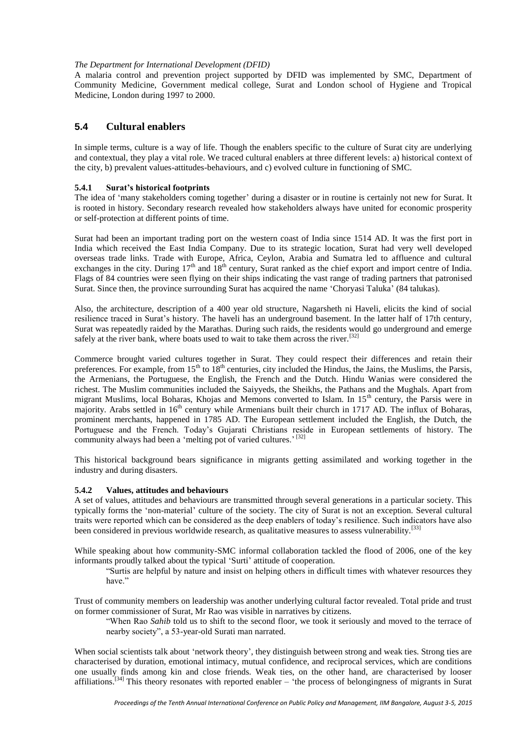#### *The Department for International Development (DFID)*

A malaria control and prevention project supported by DFID was implemented by SMC, Department of Community Medicine, Government medical college, Surat and London school of Hygiene and Tropical Medicine, London during 1997 to 2000.

### **5.4 Cultural enablers**

In simple terms, culture is a way of life. Though the enablers specific to the culture of Surat city are underlying and contextual, they play a vital role. We traced cultural enablers at three different levels: a) historical context of the city, b) prevalent values-attitudes-behaviours, and c) evolved culture in functioning of SMC.

#### **5.4.1 Surat's historical footprints**

The idea of 'many stakeholders coming together' during a disaster or in routine is certainly not new for Surat. It is rooted in history. Secondary research revealed how stakeholders always have united for economic prosperity or self-protection at different points of time.

Surat had been an important trading port on the western coast of India since 1514 AD. It was the first port in India which received the East India Company. Due to its strategic location, Surat had very well developed overseas trade links. Trade with Europe, Africa, Ceylon, Arabia and Sumatra led to affluence and cultural exchanges in the city. During  $17<sup>th</sup>$  and  $18<sup>th</sup>$  century, Surat ranked as the chief export and import centre of India. Flags of 84 countries were seen flying on their ships indicating the vast range of trading partners that patronised Surat. Since then, the province surrounding Surat has acquired the name 'Choryasi Taluka' (84 talukas).

Also, the architecture, description of a 400 year old structure, Nagarsheth ni Haveli, elicits the kind of social resilience traced in Surat's history. The haveli has an underground basement. In the latter half of 17th century, Surat was repeatedly raided by the Marathas. During such raids, the residents would go underground and emerge safely at the river bank, where boats used to wait to take them across the river.<sup>[32]</sup>

Commerce brought varied cultures together in Surat. They could respect their differences and retain their preferences. For example, from  $15<sup>th</sup>$  to  $18<sup>th</sup>$  centuries, city included the Hindus, the Jains, the Muslims, the Parsis, the Armenians, the Portuguese, the English, the French and the Dutch. Hindu Wanias were considered the richest. The Muslim communities included the Saiyyeds, the Sheikhs, the Pathans and the Mughals. Apart from migrant Muslims, local Boharas, Khojas and Memons converted to Islam. In 15<sup>th</sup> century, the Parsis were in majority. Arabs settled in  $16<sup>th</sup>$  century while Armenians built their church in 1717 AD. The influx of Boharas, prominent merchants, happened in 1785 AD. The European settlement included the English, the Dutch, the Portuguese and the French. Today's Gujarati Christians reside in European settlements of history. The community always had been a 'melting pot of varied cultures.'<sup>[32]</sup>

This historical background bears significance in migrants getting assimilated and working together in the industry and during disasters.

#### **5.4.2 Values, attitudes and behaviours**

A set of values, attitudes and behaviours are transmitted through several generations in a particular society. This typically forms the 'non-material' culture of the society. The city of Surat is not an exception. Several cultural traits were reported which can be considered as the deep enablers of today's resilience. Such indicators have also been considered in previous worldwide research, as qualitative measures to assess vulnerability.<sup>[33]</sup>

While speaking about how community-SMC informal collaboration tackled the flood of 2006, one of the key informants proudly talked about the typical 'Surti' attitude of cooperation.

"Surtis are helpful by nature and insist on helping others in difficult times with whatever resources they have"

Trust of community members on leadership was another underlying cultural factor revealed. Total pride and trust on former commissioner of Surat, Mr Rao was visible in narratives by citizens.

"When Rao *Sahib* told us to shift to the second floor, we took it seriously and moved to the terrace of nearby society", a 53-year-old Surati man narrated.

When social scientists talk about 'network theory', they distinguish between strong and weak ties. Strong ties are characterised by duration, emotional intimacy, mutual confidence, and reciprocal services, which are conditions one usually finds among kin and close friends. Weak ties, on the other hand, are characterised by looser affiliations.<sup>[34]</sup> This theory resonates with reported enabler  $-$  'the process of belongingness of migrants in Surat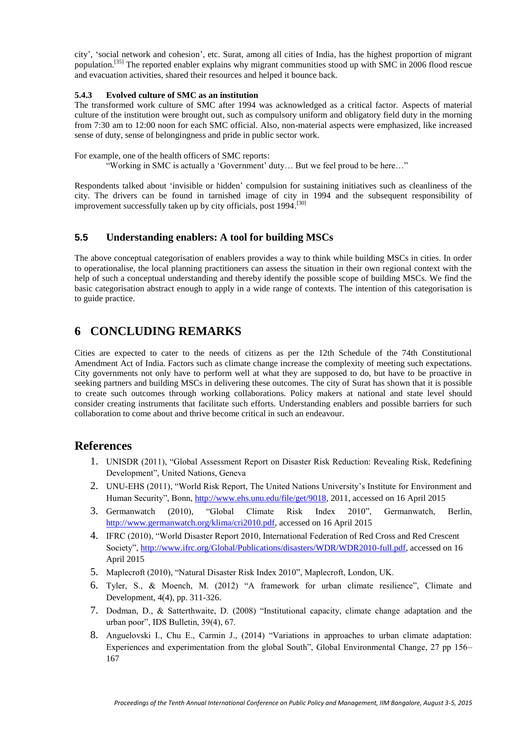city', 'social network and cohesion', etc. Surat, among all cities of India, has the highest proportion of migrant population.<sup>[35]</sup> The reported enabler explains why migrant communities stood up with SMC in 2006 flood rescue and evacuation activities, shared their resources and helped it bounce back.

#### **5.4.3 Evolved culture of SMC as an institution**

The transformed work culture of SMC after 1994 was acknowledged as a critical factor. Aspects of material culture of the institution were brought out, such as compulsory uniform and obligatory field duty in the morning from 7:30 am to 12:00 noon for each SMC official. Also, non-material aspects were emphasized, like increased sense of duty, sense of belongingness and pride in public sector work.

For example, one of the health officers of SMC reports:

"Working in SMC is actually a 'Government' duty… But we feel proud to be here…"

Respondents talked about 'invisible or hidden' compulsion for sustaining initiatives such as cleanliness of the city. The drivers can be found in tarnished image of city in 1994 and the subsequent responsibility of improvement successfully taken up by city officials, post 1994.<sup>[30]</sup>

## **5.5 Understanding enablers: A tool for building MSCs**

The above conceptual categorisation of enablers provides a way to think while building MSCs in cities. In order to operationalise, the local planning practitioners can assess the situation in their own regional context with the help of such a conceptual understanding and thereby identify the possible scope of building MSCs. We find the basic categorisation abstract enough to apply in a wide range of contexts. The intention of this categorisation is to guide practice.

## **6 CONCLUDING REMARKS**

Cities are expected to cater to the needs of citizens as per the 12th Schedule of the 74th Constitutional Amendment Act of India. Factors such as climate change increase the complexity of meeting such expectations. City governments not only have to perform well at what they are supposed to do, but have to be proactive in seeking partners and building MSCs in delivering these outcomes. The city of Surat has shown that it is possible to create such outcomes through working collaborations. Policy makers at national and state level should consider creating instruments that facilitate such efforts. Understanding enablers and possible barriers for such collaboration to come about and thrive become critical in such an endeavour.

## **References**

- 1. UNISDR (2011), "Global Assessment Report on Disaster Risk Reduction: Revealing Risk, Redefining Development", United Nations, Geneva
- 2. UNU-EHS (2011), "World Risk Report, The United Nations University's Institute for Environment and Human Security", Bonn, [http://www.ehs.unu.edu/file/get/9018,](http://www.ehs.unu.edu/file/get/9018) 2011, accessed on 16 April 2015
- 3. Germanwatch (2010), "Global Climate Risk Index 2010", Germanwatch, Berlin, [http://www.germanwatch.org/klima/cri2010.pdf,](http://www.germanwatch.org/klima/cri2010.pdf) accessed on 16 April 2015
- 4. IFRC (2010), "World Disaster Report 2010, International Federation of Red Cross and Red Crescent Society", [http://www.ifrc.org/Global/Publications/disasters/WDR/WDR2010-full.pdf,](http://www.ifrc.org/Global/Publications/disasters/WDR/WDR2010-full.pdf) accessed on 16 April 2015
- 5. Maplecroft (2010), "Natural Disaster Risk Index 2010", Maplecroft, London, UK.
- 6. Tyler, S., & Moench, M. (2012) "A framework for urban climate resilience", Climate and Development, 4(4), pp. 311-326.
- 7. Dodman, D., & Satterthwaite, D. (2008) "Institutional capacity, climate change adaptation and the urban poor", IDS Bulletin, 39(4), 67.
- 8. Anguelovski I., Chu E., Carmin J., (2014) "Variations in approaches to urban climate adaptation: Experiences and experimentation from the global South", Global Environmental Change, 27 pp 156– 167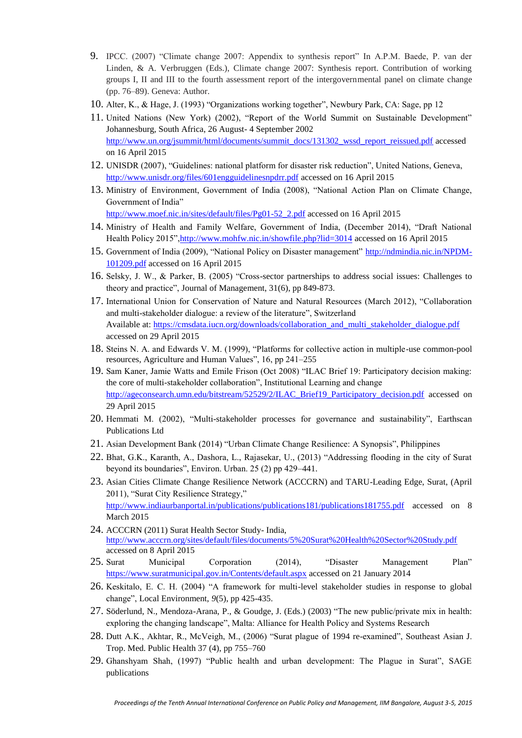- 9. IPCC. (2007) "Climate change 2007: Appendix to synthesis report" In A.P.M. Baede, P. van der Linden, & A. Verbruggen (Eds.), Climate change 2007: Synthesis report. Contribution of working groups I, II and III to the fourth assessment report of the intergovernmental panel on climate change (pp. 76–89). Geneva: Author.
- 10. Alter, K., & Hage, J. (1993) "Organizations working together", Newbury Park, CA: Sage, pp 12
- 11. United Nations (New York) (2002), "Report of the World Summit on Sustainable Development" Johannesburg, South Africa, 26 August- 4 September 2002 [http://www.un.org/jsummit/html/documents/summit\\_docs/131302\\_wssd\\_report\\_reissued.pdf](http://www.un.org/jsummit/html/documents/summit_docs/131302_wssd_report_reissued.pdf) accessed on 16 April 2015
- 12. UNISDR (2007), "Guidelines: national platform for disaster risk reduction", United Nations, Geneva, <http://www.unisdr.org/files/601engguidelinesnpdrr.pdf> accessed on 16 April 2015
- 13. Ministry of Environment, Government of India (2008), "National Action Plan on Climate Change, Government of India"

[http://www.moef.nic.in/sites/default/files/Pg01-52\\_2.pdf](http://www.moef.nic.in/sites/default/files/Pg01-52_2.pdf) accessed on 16 April 2015

- 14. Ministry of Health and Family Welfare, Government of India, (December 2014), "Draft National Health Policy 2015"[,http://www.mohfw.nic.in/showfile.php?lid=3014](http://www.mohfw.nic.in/showfile.php?lid=3014) accessed on 16 April 2015
- 15. Government of India (2009), "National Policy on Disaster management" [http://ndmindia.nic.in/NPDM-](http://ndmindia.nic.in/NPDM-101209.pdf)[101209.pdf](http://ndmindia.nic.in/NPDM-101209.pdf) accessed on 16 April 2015
- 16. Selsky, J. W., & Parker, B. (2005) "Cross-sector partnerships to address social issues: Challenges to theory and practice", Journal of Management, 31(6), pp 849-873.
- 17. International Union for Conservation of Nature and Natural Resources (March 2012), "Collaboration and multi-stakeholder dialogue: a review of the literature", Switzerland Available at: [https://cmsdata.iucn.org/downloads/collaboration\\_and\\_multi\\_stakeholder\\_dialogue.pdf](https://cmsdata.iucn.org/downloads/collaboration_and_multi_stakeholder_dialogue.pdf) accessed on 29 April 2015
- 18. Steins N. A. and Edwards V. M. (1999), "Platforms for collective action in multiple-use common-pool resources, Agriculture and Human Values", 16, pp 241–255
- 19. Sam Kaner, Jamie Watts and Emile Frison (Oct 2008) "ILAC Brief 19: Participatory decision making: the core of multi-stakeholder collaboration", Institutional Learning and change [http://ageconsearch.umn.edu/bitstream/52529/2/ILAC\\_Brief19\\_Participatory\\_decision.pdf](http://ageconsearch.umn.edu/bitstream/52529/2/ILAC_Brief19_Participatory_decision.pdf) accessed on 29 April 2015
- 20. Hemmati M. (2002), "Multi-stakeholder processes for governance and sustainability", Earthscan Publications Ltd
- 21. Asian Development Bank (2014) "Urban Climate Change Resilience: A Synopsis", Philippines
- 22. Bhat, G.K., Karanth, A., Dashora, L., Rajasekar, U., (2013) "Addressing flooding in the city of Surat beyond its boundaries", Environ. Urban. 25 (2) pp 429–441.
- 23. Asian Cities Climate Change Resilience Network (ACCCRN) and TARU-Leading Edge, Surat, (April 2011), "Surat City Resilience Strategy," <http://www.indiaurbanportal.in/publications/publications181/publications181755.pdf> accessed on 8 March 2015
- 24. ACCCRN (2011) Surat Health Sector Study- India, <http://www.acccrn.org/sites/default/files/documents/5%20Surat%20Health%20Sector%20Study.pdf> accessed on 8 April 2015
- 25. Surat Municipal Corporation (2014), "Disaster Management Plan" <https://www.suratmunicipal.gov.in/Contents/default.aspx> accessed on 21 January 2014
- 26. Keskitalo, E. C. H. (2004) "A framework for multi-level stakeholder studies in response to global change", Local Environment, *9*(5), pp 425-435.
- 27. Söderlund, N., Mendoza-Arana, P., & Goudge, J. (Eds.) (2003) "The new public/private mix in health: exploring the changing landscape", Malta: Alliance for Health Policy and Systems Research
- 28. Dutt A.K., Akhtar, R., McVeigh, M., (2006) "Surat plague of 1994 re-examined", Southeast Asian J. Trop. Med. Public Health 37 (4), pp 755–760
- 29. Ghanshyam Shah, (1997) "Public health and urban development: The Plague in Surat", SAGE publications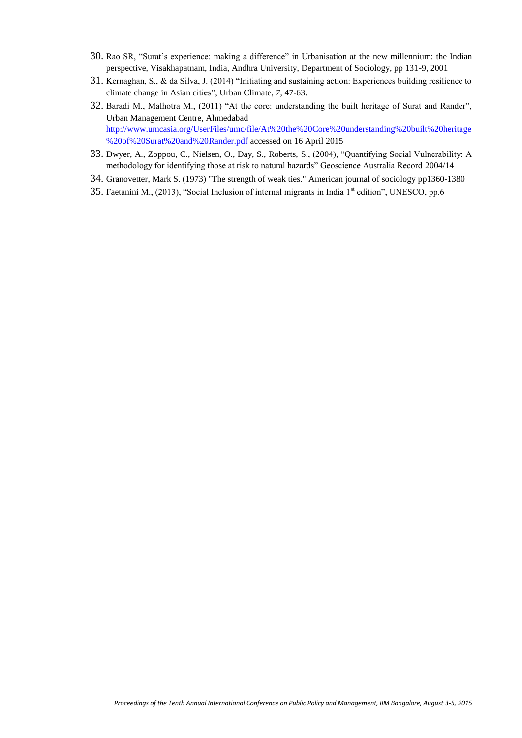- 30. Rao SR, "Surat's experience: making a difference" in Urbanisation at the new millennium: the Indian perspective, Visakhapatnam, India, Andhra University, Department of Sociology, pp 131-9, 2001
- 31. Kernaghan, S., & da Silva, J. (2014) "Initiating and sustaining action: Experiences building resilience to climate change in Asian cities", Urban Climate, *7*, 47-63.
- 32. Baradi M., Malhotra M., (2011) "At the core: understanding the built heritage of Surat and Rander", Urban Management Centre, Ahmedabad [http://www.umcasia.org/UserFiles/umc/file/At%20the%20Core%20understanding%20built%20heritage](http://www.umcasia.org/UserFiles/umc/file/At%20the%20Core%20understanding%20built%20heritage%20of%20Surat%20and%20Rander.pdf) [%20of%20Surat%20and%20Rander.pdf](http://www.umcasia.org/UserFiles/umc/file/At%20the%20Core%20understanding%20built%20heritage%20of%20Surat%20and%20Rander.pdf) accessed on 16 April 2015
- 33. Dwyer, A., Zoppou, C., Nielsen, O., Day, S., Roberts, S., (2004), "Quantifying Social Vulnerability: A methodology for identifying those at risk to natural hazards" Geoscience Australia Record 2004/14
- 34. Granovetter, Mark S. (1973) "The strength of weak ties." American journal of sociology pp1360-1380
- 35. Faetanini M., (2013), "Social Inclusion of internal migrants in India 1<sup>st</sup> edition", UNESCO, pp.6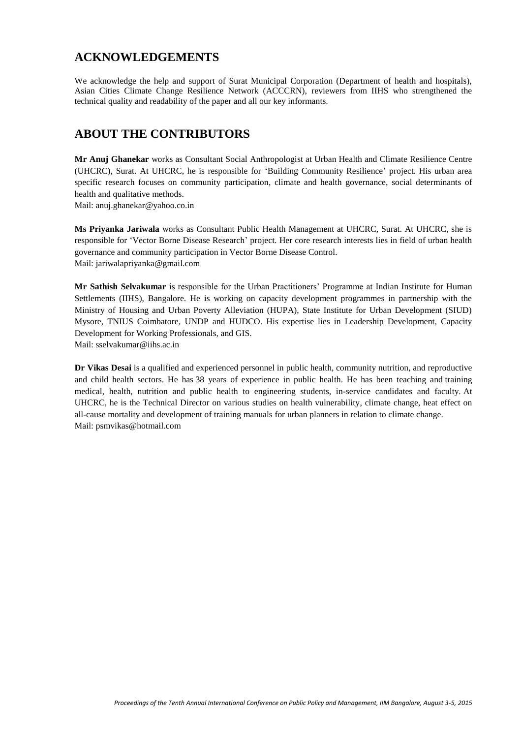## **ACKNOWLEDGEMENTS**

We acknowledge the help and support of Surat Municipal Corporation (Department of health and hospitals), Asian Cities Climate Change Resilience Network (ACCCRN), reviewers from IIHS who strengthened the technical quality and readability of the paper and all our key informants.

# **ABOUT THE CONTRIBUTORS**

**Mr Anuj Ghanekar** works as Consultant Social Anthropologist at Urban Health and Climate Resilience Centre (UHCRC), Surat. At UHCRC, he is responsible for 'Building Community Resilience' project. His urban area specific research focuses on community participation, climate and health governance, social determinants of health and qualitative methods.

Mail: anuj.ghanekar@yahoo.co.in

**Ms Priyanka Jariwala** works as Consultant Public Health Management at UHCRC, Surat. At UHCRC, she is responsible for 'Vector Borne Disease Research' project. Her core research interests lies in field of urban health governance and community participation in Vector Borne Disease Control. Mail: jariwalapriyanka@gmail.com

**Mr Sathish Selvakumar** is responsible for the Urban Practitioners' Programme at Indian Institute for Human Settlements (IIHS), Bangalore. He is working on capacity development programmes in partnership with the Ministry of Housing and Urban Poverty Alleviation (HUPA), State Institute for Urban Development (SIUD) Mysore, TNIUS Coimbatore, UNDP and HUDCO. His expertise lies in Leadership Development, Capacity Development for Working Professionals, and GIS.

Mail: sselvakumar@iihs.ac.in

**Dr Vikas Desai** is a qualified and experienced personnel in public health, community nutrition, and reproductive and child health sectors. He has 38 years of experience in public health. He has been teaching and training medical, health, nutrition and public health to engineering students, in-service candidates and faculty. At UHCRC, he is the Technical Director on various studies on health vulnerability, climate change, heat effect on all-cause mortality and development of training manuals for urban planners in relation to climate change. Mail: psmvikas@hotmail.com